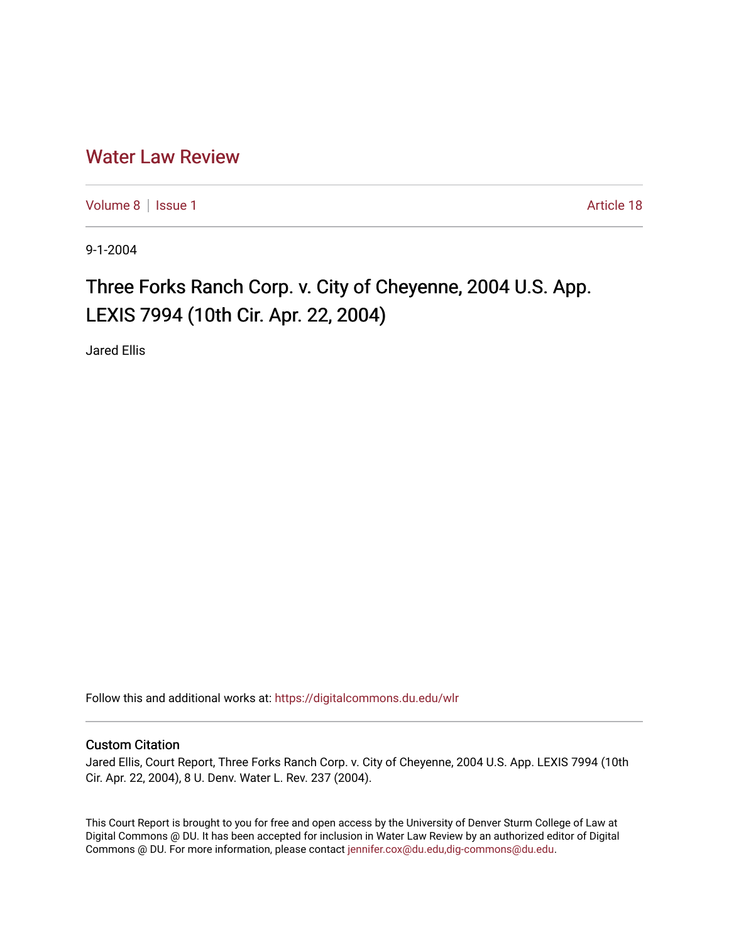## [Water Law Review](https://digitalcommons.du.edu/wlr)

[Volume 8](https://digitalcommons.du.edu/wlr/vol8) | [Issue 1](https://digitalcommons.du.edu/wlr/vol8/iss1) Article 18

9-1-2004

## Three Forks Ranch Corp. v. City of Cheyenne, 2004 U.S. App. LEXIS 7994 (10th Cir. Apr. 22, 2004)

Jared Ellis

Follow this and additional works at: [https://digitalcommons.du.edu/wlr](https://digitalcommons.du.edu/wlr?utm_source=digitalcommons.du.edu%2Fwlr%2Fvol8%2Fiss1%2F18&utm_medium=PDF&utm_campaign=PDFCoverPages) 

## Custom Citation

Jared Ellis, Court Report, Three Forks Ranch Corp. v. City of Cheyenne, 2004 U.S. App. LEXIS 7994 (10th Cir. Apr. 22, 2004), 8 U. Denv. Water L. Rev. 237 (2004).

This Court Report is brought to you for free and open access by the University of Denver Sturm College of Law at Digital Commons @ DU. It has been accepted for inclusion in Water Law Review by an authorized editor of Digital Commons @ DU. For more information, please contact [jennifer.cox@du.edu,dig-commons@du.edu.](mailto:jennifer.cox@du.edu,dig-commons@du.edu)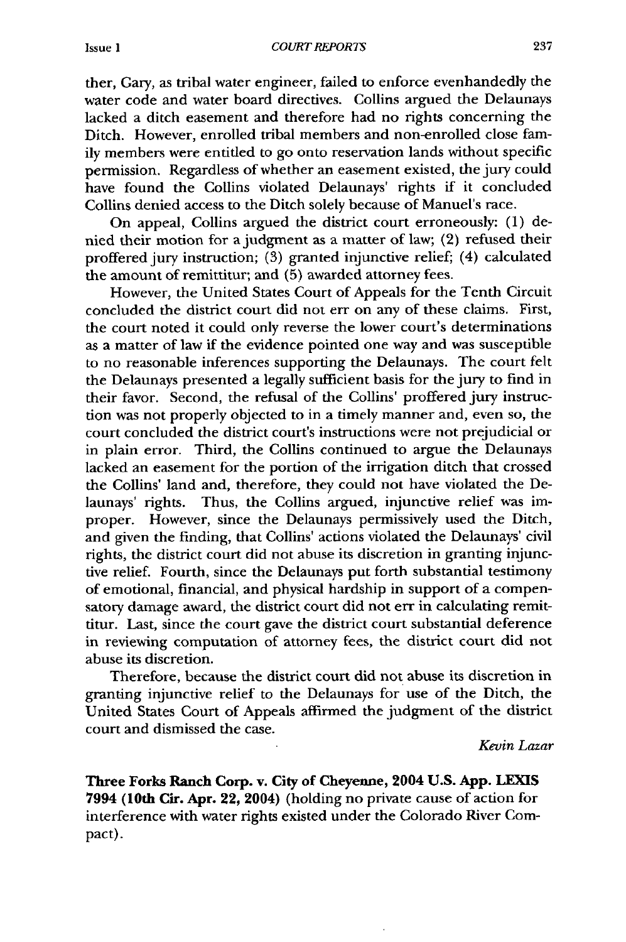ther, Gary, as tribal water engineer, failed to enforce evenhandedly the water code and water board directives. Collins argued the Delaunays lacked a ditch easement and therefore had no rights concerning the Ditch. However, enrolled tribal members and non-enrolled close family members were entitled to go onto reservation lands without specific permission. Regardless of whether an easement existed, the jury could have found the Collins violated Delaunays' rights if it concluded Collins denied access to the Ditch solely because of Manuel's race.

On appeal, Collins argued the district court erroneously: (1) denied their motion for a judgment as a matter of law; (2) refused their proffered jury instruction; (3) granted injunctive relief; (4) calculated the amount of remittitur; and (5) awarded attorney fees.

However, the United States Court of Appeals for the Tenth Circuit concluded the district court did not err on any of these claims. First, the court noted it could only reverse the lower court's determinations as a matter of law if the evidence pointed one way and was susceptible to no reasonable inferences supporting the Delaunays. The court felt the Delaunays presented a legally sufficient basis for the jury to find in their favor. Second, the refusal of the Collins' proffered jury instruction was not properly objected to in a timely manner and, even so, the court concluded the district court's instructions were not prejudicial or in plain error. Third, the Collins continued to argue the Delaunays lacked an easement for the portion of the irrigation ditch that crossed the Collins' land and, therefore, they could not have violated the Delaunays' rights. Thus, the Collins argued, injunctive relief was improper. However, since the Delaunays permissively used the Ditch, and given the finding, that Collins' actions violated the Delaunays' civil rights, the district court did not abuse its discretion in granting injunctive relief. Fourth, since the Delaunays put forth substantial testimony of emotional, financial, and physical hardship in support of a compensatory damage award, the district court did not err in calculating remittitur. Last, since the court gave the district court substantial deference in reviewing computation of attorney fees, the district court did not abuse its discretion.

Therefore, because the district court did not abuse its discretion in granting injunctive relief to the Delaunays for use of the Ditch, the United States Court of Appeals affirmed the judgment of the district court and dismissed the case.

*Kevin Lazar*

**Three Forks Ranch Corp. v. City of Cheyenne, 2004 U.S. App. LEXIS 7994 (10th Cir. Apr. 22, 2004)** (holding no private cause of action for interference with water rights existed under the Colorado River Compact).